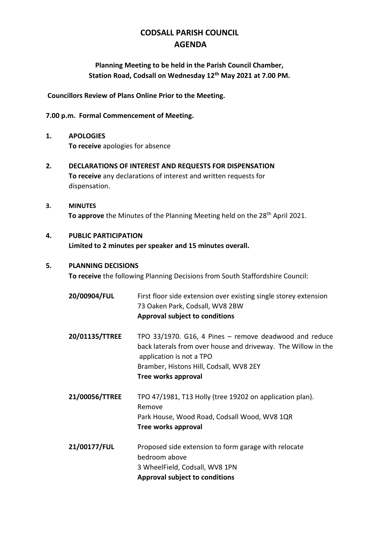# **CODSALL PARISH COUNCIL AGENDA**

# **Planning Meeting to be held in the Parish Council Chamber, Station Road, Codsall on Wednesday 12th May 2021 at 7.00 PM.**

**Councillors Review of Plans Online Prior to the Meeting.**

#### **7.00 p.m. Formal Commencement of Meeting.**

- **1. APOLOGIES To receive** apologies for absence
- **2. DECLARATIONS OF INTEREST AND REQUESTS FOR DISPENSATION To receive** any declarations of interest and written requests for dispensation.
- **3. MINUTES** To approve the Minutes of the Planning Meeting held on the 28<sup>th</sup> April 2021.

## **4. PUBLIC PARTICIPATION Limited to 2 minutes per speaker and 15 minutes overall.**

#### **5. PLANNING DECISIONS**

**To receive** the following Planning Decisions from South Staffordshire Council:

- **20/00904/FUL** First floor side extension over existing single storey extension 73 Oaken Park, Codsall, WV8 2BW **Approval subject to conditions**
- **20/01135/TTREE** TPO 33/1970. G16, 4 Pines remove deadwood and reduce back laterals from over house and driveway. The Willow in the application is not a TPO Bramber, Histons Hill, Codsall, WV8 2EY **Tree works approval**
- **21/00056/TTREE** TPO 47/1981, T13 Holly (tree 19202 on application plan). Remove Park House, Wood Road, Codsall Wood, WV8 1QR **Tree works approval**
- **21/00177/FUL** Proposed side extension to form garage with relocate bedroom above 3 WheelField, Codsall, WV8 1PN **Approval subject to conditions**